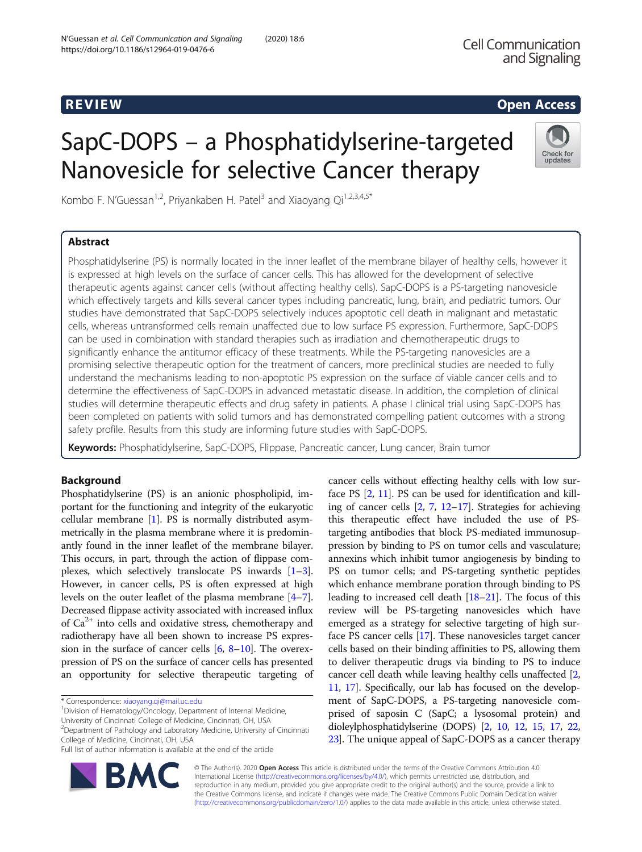## **REVIEW CONSIDERING CONSIDERING CONSIDERING CONSIDERING CONSIDERING CONSIDERING CONSIDERING CONSIDERING CONSIDERING CONSIDERING CONSIDERING CONSIDERING CONSIDERING CONSIDERING CONSIDERING CONSIDERING CONSIDERING CONSIDER**

# SapC-DOPS – a Phosphatidylserine-targeted Nanovesicle for selective Cancer therapy

Kombo F. N'Guessan<sup>1,2</sup>, Priyankaben H. Patel<sup>3</sup> and Xiaoyang Qi<sup>1,2,3,4,5\*</sup>

## Abstract

## Check for undates

Phosphatidylserine (PS) is normally located in the inner leaflet of the membrane bilayer of healthy cells, however it is expressed at high levels on the surface of cancer cells. This has allowed for the development of selective therapeutic agents against cancer cells (without affecting healthy cells). SapC-DOPS is a PS-targeting nanovesicle which effectively targets and kills several cancer types including pancreatic, lung, brain, and pediatric tumors. Our studies have demonstrated that SapC-DOPS selectively induces apoptotic cell death in malignant and metastatic cells, whereas untransformed cells remain unaffected due to low surface PS expression. Furthermore, SapC-DOPS can be used in combination with standard therapies such as irradiation and chemotherapeutic drugs to significantly enhance the antitumor efficacy of these treatments. While the PS-targeting nanovesicles are a promising selective therapeutic option for the treatment of cancers, more preclinical studies are needed to fully understand the mechanisms leading to non-apoptotic PS expression on the surface of viable cancer cells and to determine the effectiveness of SapC-DOPS in advanced metastatic disease. In addition, the completion of clinical studies will determine therapeutic effects and drug safety in patients. A phase I clinical trial using SapC-DOPS has been completed on patients with solid tumors and has demonstrated compelling patient outcomes with a strong safety profile. Results from this study are informing future studies with SapC-DOPS.

Keywords: Phosphatidylserine, SapC-DOPS, Flippase, Pancreatic cancer, Lung cancer, Brain tumor

## Background

Phosphatidylserine (PS) is an anionic phospholipid, important for the functioning and integrity of the eukaryotic cellular membrane [\[1](#page-3-0)]. PS is normally distributed asymmetrically in the plasma membrane where it is predominantly found in the inner leaflet of the membrane bilayer. This occurs, in part, through the action of flippase complexes, which selectively translocate PS inwards [[1](#page-3-0)–[3](#page-3-0)]. However, in cancer cells, PS is often expressed at high levels on the outer leaflet of the plasma membrane [[4](#page-3-0)–[7](#page-3-0)]. Decreased flippase activity associated with increased influx of  $Ca^{2+}$  into cells and oxidative stress, chemotherapy and radiotherapy have all been shown to increase PS expression in the surface of cancer cells [\[6](#page-3-0), [8](#page-3-0)–[10](#page-3-0)]. The overexpression of PS on the surface of cancer cells has presented an opportunity for selective therapeutic targeting of

\* Correspondence: [xiaoyang.qi@mail.uc.edu](mailto:xiaoyang.qi@mail.uc.edu) <sup>1</sup>

<sup>1</sup> Division of Hematology/Oncology, Department of Internal Medicine, University of Cincinnati College of Medicine, Cincinnati, OH, USA

<sup>2</sup>Department of Pathology and Laboratory Medicine, University of Cincinnati College of Medicine, Cincinnati, OH, USA

Full list of author information is available at the end of the article



cancer cells without effecting healthy cells with low surface PS [\[2](#page-3-0), [11](#page-4-0)]. PS can be used for identification and killing of cancer cells [\[2](#page-3-0), [7](#page-3-0), [12](#page-4-0)–[17](#page-4-0)]. Strategies for achieving this therapeutic effect have included the use of PStargeting antibodies that block PS-mediated immunosuppression by binding to PS on tumor cells and vasculature; annexins which inhibit tumor angiogenesis by binding to PS on tumor cells; and PS-targeting synthetic peptides which enhance membrane poration through binding to PS leading to increased cell death [\[18](#page-4-0)–[21](#page-4-0)]. The focus of this review will be PS-targeting nanovesicles which have emerged as a strategy for selective targeting of high surface PS cancer cells [\[17\]](#page-4-0). These nanovesicles target cancer cells based on their binding affinities to PS, allowing them to deliver therapeutic drugs via binding to PS to induce cancer cell death while leaving healthy cells unaffected [[2](#page-3-0), [11](#page-4-0), [17\]](#page-4-0). Specifically, our lab has focused on the development of SapC-DOPS, a PS-targeting nanovesicle comprised of saposin C (SapC; a lysosomal protein) and dioleylphosphatidylserine (DOPS) [\[2](#page-3-0), [10,](#page-3-0) [12](#page-4-0), [15,](#page-4-0) [17,](#page-4-0) [22](#page-4-0), [23](#page-4-0)]. The unique appeal of SapC-DOPS as a cancer therapy

© The Author(s). 2020 Open Access This article is distributed under the terms of the Creative Commons Attribution 4.0 International License [\(http://creativecommons.org/licenses/by/4.0/](http://creativecommons.org/licenses/by/4.0/)), which permits unrestricted use, distribution, and reproduction in any medium, provided you give appropriate credit to the original author(s) and the source, provide a link to the Creative Commons license, and indicate if changes were made. The Creative Commons Public Domain Dedication waiver [\(http://creativecommons.org/publicdomain/zero/1.0/](http://creativecommons.org/publicdomain/zero/1.0/)) applies to the data made available in this article, unless otherwise stated.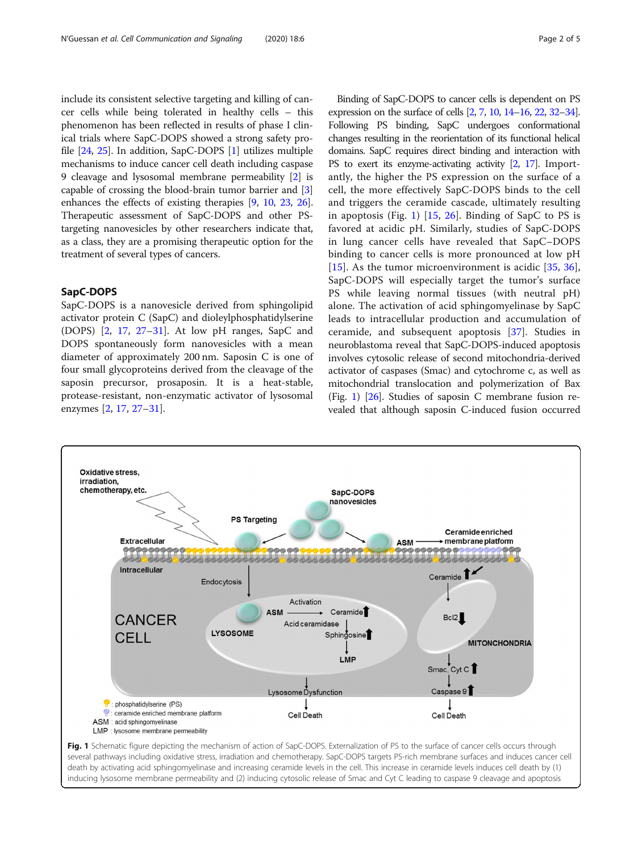include its consistent selective targeting and killing of cancer cells while being tolerated in healthy cells – this phenomenon has been reflected in results of phase I clinical trials where SapC-DOPS showed a strong safety profile [\[24,](#page-4-0) [25\]](#page-4-0). In addition, SapC-DOPS [[1](#page-3-0)] utilizes multiple mechanisms to induce cancer cell death including caspase 9 cleavage and lysosomal membrane permeability [[2\]](#page-3-0) is capable of crossing the blood-brain tumor barrier and [[3](#page-3-0)] enhances the effects of existing therapies [\[9](#page-3-0), [10,](#page-3-0) [23,](#page-4-0) [26](#page-4-0)]. Therapeutic assessment of SapC-DOPS and other PStargeting nanovesicles by other researchers indicate that, as a class, they are a promising therapeutic option for the treatment of several types of cancers.

#### SapC-DOPS

SapC-DOPS is a nanovesicle derived from sphingolipid activator protein C (SapC) and dioleylphosphatidylserine (DOPS) [[2,](#page-3-0) [17,](#page-4-0) [27](#page-4-0)–[31\]](#page-4-0). At low pH ranges, SapC and DOPS spontaneously form nanovesicles with a mean diameter of approximately 200 nm. Saposin C is one of four small glycoproteins derived from the cleavage of the saposin precursor, prosaposin. It is a heat-stable, protease-resistant, non-enzymatic activator of lysosomal enzymes [[2,](#page-3-0) [17](#page-4-0), [27](#page-4-0)–[31](#page-4-0)].

Binding of SapC-DOPS to cancer cells is dependent on PS expression on the surface of cells [\[2](#page-3-0), [7](#page-3-0), [10,](#page-3-0) [14](#page-4-0)–[16](#page-4-0), [22](#page-4-0), [32](#page-4-0)–[34\]](#page-4-0). Following PS binding, SapC undergoes conformational changes resulting in the reorientation of its functional helical domains. SapC requires direct binding and interaction with PS to exert its enzyme-activating activity [\[2](#page-3-0), [17](#page-4-0)]. Importantly, the higher the PS expression on the surface of a cell, the more effectively SapC-DOPS binds to the cell and triggers the ceramide cascade, ultimately resulting in apoptosis (Fig. 1)  $[15, 26]$  $[15, 26]$  $[15, 26]$  $[15, 26]$ . Binding of SapC to PS is favored at acidic pH. Similarly, studies of SapC-DOPS in lung cancer cells have revealed that SapC–DOPS binding to cancer cells is more pronounced at low pH [[15\]](#page-4-0). As the tumor microenvironment is acidic  $[35, 36]$  $[35, 36]$  $[35, 36]$  $[35, 36]$  $[35, 36]$ , SapC-DOPS will especially target the tumor's surface PS while leaving normal tissues (with neutral pH) alone. The activation of acid sphingomyelinase by SapC leads to intracellular production and accumulation of ceramide, and subsequent apoptosis [\[37](#page-4-0)]. Studies in neuroblastoma reveal that SapC-DOPS-induced apoptosis involves cytosolic release of second mitochondria-derived activator of caspases (Smac) and cytochrome c, as well as mitochondrial translocation and polymerization of Bax (Fig. 1)  $[26]$  $[26]$  $[26]$ . Studies of saposin C membrane fusion revealed that although saposin C-induced fusion occurred



several pathways including oxidative stress, irradiation and chemotherapy. SapC-DOPS targets PS-rich membrane surfaces and induces cancer cell death by activating acid sphingomyelinase and increasing ceramide levels in the cell. This increase in ceramide levels induces cell death by (1) inducing lysosome membrane permeability and (2) inducing cytosolic release of Smac and Cyt C leading to caspase 9 cleavage and apoptosis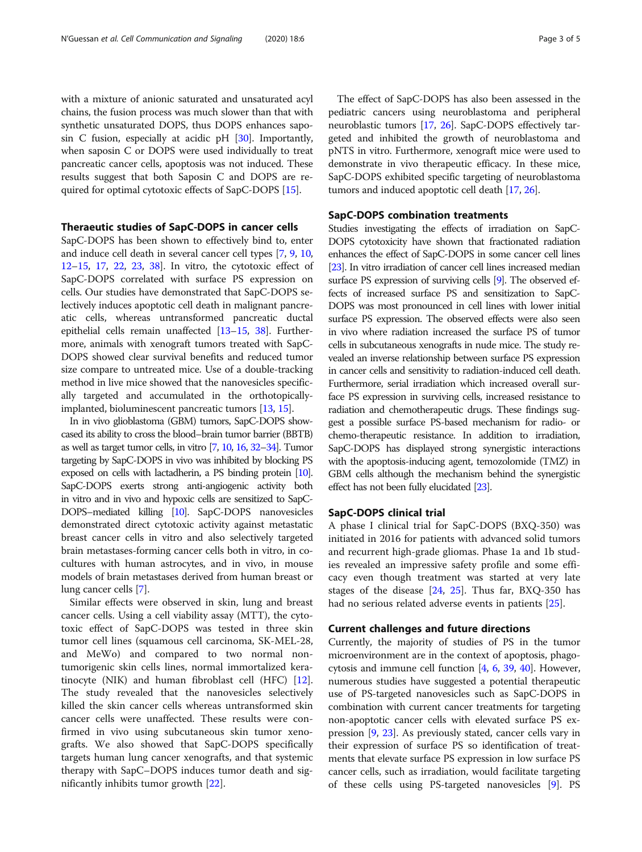with a mixture of anionic saturated and unsaturated acyl chains, the fusion process was much slower than that with synthetic unsaturated DOPS, thus DOPS enhances saposin C fusion, especially at acidic pH  $[30]$ . Importantly, when saposin C or DOPS were used individually to treat pancreatic cancer cells, apoptosis was not induced. These results suggest that both Saposin C and DOPS are required for optimal cytotoxic effects of SapC-DOPS [[15](#page-4-0)].

#### Theraeutic studies of SapC-DOPS in cancer cells

SapC-DOPS has been shown to effectively bind to, enter and induce cell death in several cancer cell types [\[7,](#page-3-0) [9,](#page-3-0) [10](#page-3-0), [12](#page-4-0)–[15,](#page-4-0) [17](#page-4-0), [22](#page-4-0), [23,](#page-4-0) [38](#page-4-0)]. In vitro, the cytotoxic effect of SapC-DOPS correlated with surface PS expression on cells. Our studies have demonstrated that SapC-DOPS selectively induces apoptotic cell death in malignant pancreatic cells, whereas untransformed pancreatic ductal epithelial cells remain unaffected [\[13](#page-4-0)–[15](#page-4-0), [38](#page-4-0)]. Furthermore, animals with xenograft tumors treated with SapC-DOPS showed clear survival benefits and reduced tumor size compare to untreated mice. Use of a double-tracking method in live mice showed that the nanovesicles specifically targeted and accumulated in the orthotopicallyimplanted, bioluminescent pancreatic tumors [[13](#page-4-0), [15\]](#page-4-0).

In in vivo glioblastoma (GBM) tumors, SapC-DOPS showcased its ability to cross the blood–brain tumor barrier (BBTB) as well as target tumor cells, in vitro [\[7](#page-3-0), [10,](#page-3-0) [16](#page-4-0), [32](#page-4-0)–[34](#page-4-0)]. Tumor targeting by SapC-DOPS in vivo was inhibited by blocking PS exposed on cells with lactadherin, a PS binding protein [[10\]](#page-3-0). SapC-DOPS exerts strong anti-angiogenic activity both in vitro and in vivo and hypoxic cells are sensitized to SapC-DOPS–mediated killing [\[10\]](#page-3-0). SapC-DOPS nanovesicles demonstrated direct cytotoxic activity against metastatic breast cancer cells in vitro and also selectively targeted brain metastases-forming cancer cells both in vitro, in cocultures with human astrocytes, and in vivo, in mouse models of brain metastases derived from human breast or lung cancer cells [[7\]](#page-3-0).

Similar effects were observed in skin, lung and breast cancer cells. Using a cell viability assay (MTT), the cytotoxic effect of SapC-DOPS was tested in three skin tumor cell lines (squamous cell carcinoma, SK-MEL-28, and MeWo) and compared to two normal nontumorigenic skin cells lines, normal immortalized keratinocyte (NIK) and human fibroblast cell (HFC) [\[12](#page-4-0)]. The study revealed that the nanovesicles selectively killed the skin cancer cells whereas untransformed skin cancer cells were unaffected. These results were confirmed in vivo using subcutaneous skin tumor xenografts. We also showed that SapC-DOPS specifically targets human lung cancer xenografts, and that systemic therapy with SapC–DOPS induces tumor death and significantly inhibits tumor growth [\[22\]](#page-4-0).

The effect of SapC-DOPS has also been assessed in the pediatric cancers using neuroblastoma and peripheral neuroblastic tumors [\[17,](#page-4-0) [26](#page-4-0)]. SapC-DOPS effectively targeted and inhibited the growth of neuroblastoma and pNTS in vitro. Furthermore, xenograft mice were used to demonstrate in vivo therapeutic efficacy. In these mice, SapC-DOPS exhibited specific targeting of neuroblastoma tumors and induced apoptotic cell death [\[17,](#page-4-0) [26](#page-4-0)].

### SapC-DOPS combination treatments

Studies investigating the effects of irradiation on SapC-DOPS cytotoxicity have shown that fractionated radiation enhances the effect of SapC-DOPS in some cancer cell lines [[23\]](#page-4-0). In vitro irradiation of cancer cell lines increased median surface PS expression of surviving cells [[9](#page-3-0)]. The observed effects of increased surface PS and sensitization to SapC-DOPS was most pronounced in cell lines with lower initial surface PS expression. The observed effects were also seen in vivo where radiation increased the surface PS of tumor cells in subcutaneous xenografts in nude mice. The study revealed an inverse relationship between surface PS expression in cancer cells and sensitivity to radiation-induced cell death. Furthermore, serial irradiation which increased overall surface PS expression in surviving cells, increased resistance to radiation and chemotherapeutic drugs. These findings suggest a possible surface PS-based mechanism for radio- or chemo-therapeutic resistance. In addition to irradiation, SapC-DOPS has displayed strong synergistic interactions with the apoptosis-inducing agent, temozolomide (TMZ) in GBM cells although the mechanism behind the synergistic effect has not been fully elucidated [\[23\]](#page-4-0).

#### SapC-DOPS clinical trial

A phase I clinical trial for SapC-DOPS (BXQ-350) was initiated in 2016 for patients with advanced solid tumors and recurrent high-grade gliomas. Phase 1a and 1b studies revealed an impressive safety profile and some efficacy even though treatment was started at very late stages of the disease [[24,](#page-4-0) [25\]](#page-4-0). Thus far, BXQ-350 has had no serious related adverse events in patients [\[25](#page-4-0)].

#### Current challenges and future directions

Currently, the majority of studies of PS in the tumor microenvironment are in the context of apoptosis, phagocytosis and immune cell function [[4,](#page-3-0) [6,](#page-3-0) [39,](#page-4-0) [40](#page-4-0)]. However, numerous studies have suggested a potential therapeutic use of PS-targeted nanovesicles such as SapC-DOPS in combination with current cancer treatments for targeting non-apoptotic cancer cells with elevated surface PS expression [[9](#page-3-0), [23](#page-4-0)]. As previously stated, cancer cells vary in their expression of surface PS so identification of treatments that elevate surface PS expression in low surface PS cancer cells, such as irradiation, would facilitate targeting of these cells using PS-targeted nanovesicles [\[9](#page-3-0)]. PS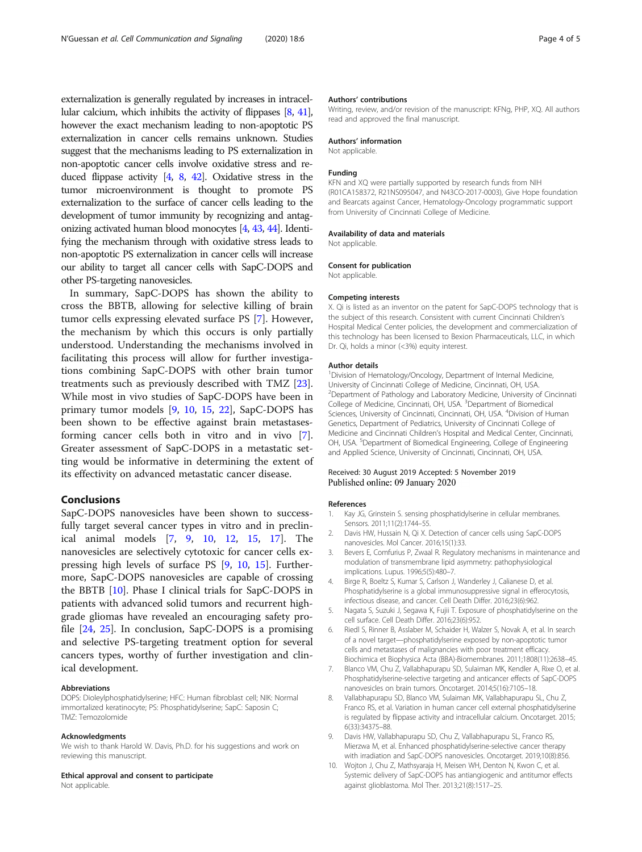<span id="page-3-0"></span>externalization is generally regulated by increases in intracellular calcium, which inhibits the activity of flippases [8, [41\]](#page-4-0), however the exact mechanism leading to non-apoptotic PS externalization in cancer cells remains unknown. Studies suggest that the mechanisms leading to PS externalization in non-apoptotic cancer cells involve oxidative stress and reduced flippase activity [4, 8, [42](#page-4-0)]. Oxidative stress in the tumor microenvironment is thought to promote PS externalization to the surface of cancer cells leading to the development of tumor immunity by recognizing and antagonizing activated human blood monocytes [4, [43](#page-4-0), [44](#page-4-0)]. Identifying the mechanism through with oxidative stress leads to non-apoptotic PS externalization in cancer cells will increase our ability to target all cancer cells with SapC-DOPS and other PS-targeting nanovesicles.

In summary, SapC-DOPS has shown the ability to cross the BBTB, allowing for selective killing of brain tumor cells expressing elevated surface PS [7]. However, the mechanism by which this occurs is only partially understood. Understanding the mechanisms involved in facilitating this process will allow for further investigations combining SapC-DOPS with other brain tumor treatments such as previously described with TMZ [\[23](#page-4-0)]. While most in vivo studies of SapC-DOPS have been in primary tumor models [9, 10, [15,](#page-4-0) [22\]](#page-4-0), SapC-DOPS has been shown to be effective against brain metastasesforming cancer cells both in vitro and in vivo [7]. Greater assessment of SapC-DOPS in a metastatic setting would be informative in determining the extent of its effectivity on advanced metastatic cancer disease.

#### Conclusions

SapC-DOPS nanovesicles have been shown to successfully target several cancer types in vitro and in preclinical animal models [7, 9, 10, [12,](#page-4-0) [15,](#page-4-0) [17](#page-4-0)]. The nanovesicles are selectively cytotoxic for cancer cells expressing high levels of surface PS [9, 10, [15](#page-4-0)]. Furthermore, SapC-DOPS nanovesicles are capable of crossing the BBTB [10]. Phase I clinical trials for SapC-DOPS in patients with advanced solid tumors and recurrent highgrade gliomas have revealed an encouraging safety profile [\[24](#page-4-0), [25\]](#page-4-0). In conclusion, SapC-DOPS is a promising and selective PS-targeting treatment option for several cancers types, worthy of further investigation and clinical development.

#### Abbreviations

DOPS: Dioleylphosphatidylserine; HFC: Human fibroblast cell; NIK: Normal immortalized keratinocyte; PS: Phosphatidylserine; SapC: Saposin C; TMZ: Temozolomide

#### Acknowledgments

We wish to thank Harold W. Davis, Ph.D. for his suggestions and work on reviewing this manuscript.

#### Ethical approval and consent to participate

Not applicable.

#### Authors' contributions

Writing, review, and/or revision of the manuscript: KFNg, PHP, XQ. All authors read and approved the final manuscript.

#### Authors' information

Not applicable.

#### Funding

KFN and XQ were partially supported by research funds from NIH (R01CA158372, R21NS095047, and N43CO-2017-0003), Give Hope foundation and Bearcats against Cancer, Hematology-Oncology programmatic support from University of Cincinnati College of Medicine.

#### Availability of data and materials

Not applicable.

#### Consent for publication

Not applicable.

#### Competing interests

X. Qi is listed as an inventor on the patent for SapC-DOPS technology that is the subject of this research. Consistent with current Cincinnati Children's Hospital Medical Center policies, the development and commercialization of this technology has been licensed to Bexion Pharmaceuticals, LLC, in which Dr. Qi, holds a minor (<3%) equity interest.

#### Author details

<sup>1</sup> Division of Hematology/Oncology, Department of Internal Medicine University of Cincinnati College of Medicine, Cincinnati, OH, USA. <sup>2</sup>Department of Pathology and Laboratory Medicine, University of Cincinnati College of Medicine, Cincinnati, OH, USA. <sup>3</sup> Department of Biomedical Sciences, University of Cincinnati, Cincinnati, OH, USA. <sup>4</sup>Division of Human Genetics, Department of Pediatrics, University of Cincinnati College of Medicine and Cincinnati Children's Hospital and Medical Center, Cincinnati, OH, USA.<sup>5</sup> Department of Biomedical Engineering, College of Engineering and Applied Science, University of Cincinnati, Cincinnati, OH, USA.

#### Received: 30 August 2019 Accepted: 5 November 2019 Published online: 09 January 2020

#### References

- 1. Kay JG, Grinstein S. sensing phosphatidylserine in cellular membranes. Sensors. 2011;11(2):1744–55.
- 2. Davis HW, Hussain N, Qi X. Detection of cancer cells using SapC-DOPS nanovesicles. Mol Cancer. 2016;15(1):33.
- 3. Bevers E, Comfurius P, Zwaal R. Regulatory mechanisms in maintenance and modulation of transmembrane lipid asymmetry: pathophysiological implications. Lupus. 1996;5(5):480-7.
- 4. Birge R, Boeltz S, Kumar S, Carlson J, Wanderley J, Calianese D, et al. Phosphatidylserine is a global immunosuppressive signal in efferocytosis, infectious disease, and cancer. Cell Death Differ. 2016;23(6):962.
- 5. Nagata S, Suzuki J, Segawa K, Fujii T. Exposure of phosphatidylserine on the cell surface. Cell Death Differ. 2016;23(6):952.
- Riedl S, Rinner B, Asslaber M, Schaider H, Walzer S, Novak A, et al. In search of a novel target—phosphatidylserine exposed by non-apoptotic tumor cells and metastases of malignancies with poor treatment efficacy. Biochimica et Biophysica Acta (BBA)-Biomembranes. 2011;1808(11):2638–45.
- 7. Blanco VM, Chu Z, Vallabhapurapu SD, Sulaiman MK, Kendler A, Rixe O, et al. Phosphatidylserine-selective targeting and anticancer effects of SapC-DOPS nanovesicles on brain tumors. Oncotarget. 2014;5(16):7105–18.
- Vallabhapurapu SD, Blanco VM, Sulaiman MK, Vallabhapurapu SL, Chu Z, Franco RS, et al. Variation in human cancer cell external phosphatidylserine is regulated by flippase activity and intracellular calcium. Oncotarget. 2015; 6(33):34375–88.
- 9. Davis HW, Vallabhapurapu SD, Chu Z, Vallabhapurapu SL, Franco RS, Mierzwa M, et al. Enhanced phosphatidylserine-selective cancer therapy with irradiation and SapC-DOPS nanovesicles. Oncotarget. 2019;10(8):856.
- 10. Wojton J, Chu Z, Mathsyaraja H, Meisen WH, Denton N, Kwon C, et al. Systemic delivery of SapC-DOPS has antiangiogenic and antitumor effects against glioblastoma. Mol Ther. 2013;21(8):1517–25.